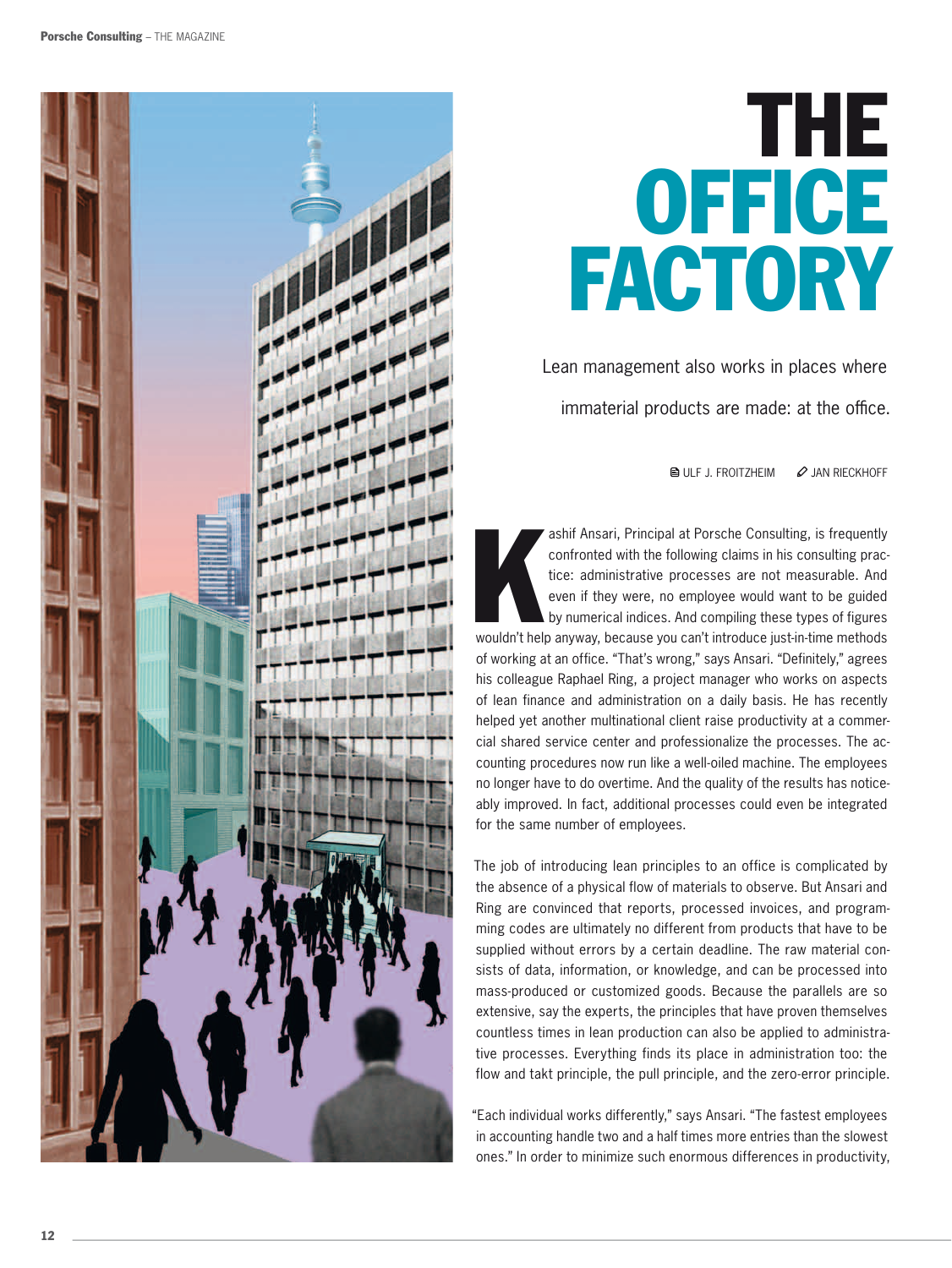

## the **OFFICE FACTORY**

Lean management also works in places where immaterial products are made: at the office.

 $\bigcirc$  Ulf J. FROITZHEIM  $\oslash$  JAN RIECKHOFF

ashif Ansari, Principal at Porsche Consulting, is frequently confronted with the following claims in his consulting practice: administrative processes are not measurable. And even if they were, no employee would want to be ashif Ansari, Principal at Porsche Consulting, is frequently confronted with the following claims in his consulting practice: administrative processes are not measurable. And even if they were, no employee would want to be guided by numerical indices. And compiling these types of figures of working at an office. "That's wrong," says Ansari. "Definitely," agrees his colleague Raphael Ring, a project manager who works on aspects of lean finance and administration on a daily basis. He has recently helped yet another multinational client raise productivity at a commercial shared service center and professionalize the processes. The accounting procedures now run like a well-oiled machine. The employees no longer have to do overtime. And the quality of the results has noticeably improved. In fact, additional processes could even be integrated for the same number of employees.

The job of introducing lean principles to an office is complicated by the absence of a physical flow of materials to observe. But Ansari and Ring are convinced that reports, processed invoices, and programming codes are ultimately no different from products that have to be supplied without errors by a certain deadline. The raw material consists of data, information, or knowledge, and can be processed into mass-produced or customized goods. Because the parallels are so extensive, say the experts, the principles that have proven themselves countless times in lean production can also be applied to administrative processes. Everything finds its place in administration too: the flow and takt principle, the pull principle, and the zero-error principle.

"Each individual works differently," says Ansari. "The fastest employees in accounting handle two and a half times more entries than the slowest ones." In order to minimize such enormous differences in productivity,